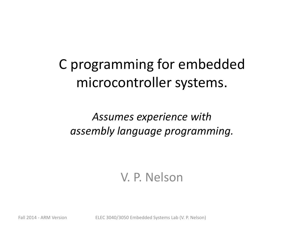C programming for embedded microcontroller systems.

*Assumes experience with assembly language programming.*

#### V. P. Nelson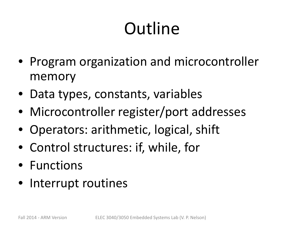# **Outline**

- Program organization and microcontroller memory
- Data types, constants, variables
- Microcontroller register/port addresses
- Operators: arithmetic, logical, shift
- Control structures: if, while, for
- Functions
- Interrupt routines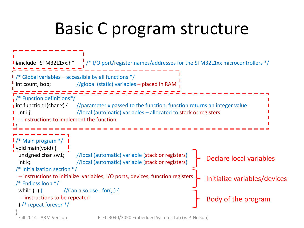# Basic C program structure

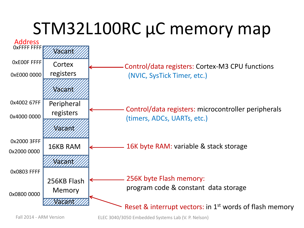# STM32L100RC µC memory map

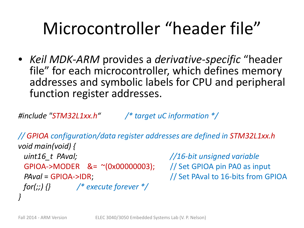# Microcontroller "header file"

• *Keil MDK-ARM* provides a *derivative-specific* "header file" for each microcontroller, which defines memory addresses and symbolic labels for CPU and peripheral function register addresses.

*#include "STM32L1xx.h" /\* target uC information \*/*

*// GPIOA configuration/data register addresses are defined in STM32L1xx.h void main(void) { uint16\_t PAval; //16-bit unsigned variable* GPIOA->MODER &= ~(0x00000003); // Set GPIOA pin PA0 as input *PAval* = GPIOA->IDR; // Set PAval to 16-bits from GPIOA *for(;;) {} /\* execute forever \*/ }*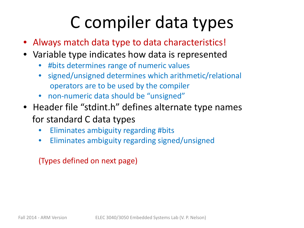# C compiler data types

- Always match data type to data characteristics!
- Variable type indicates how data is represented
	- #bits determines range of numeric values
	- signed/unsigned determines which arithmetic/relational operators are to be used by the compiler
	- non-numeric data should be "unsigned"
- Header file "stdint.h" defines alternate type names for standard C data types
	- Eliminates ambiguity regarding #bits
	- Eliminates ambiguity regarding signed/unsigned

(Types defined on next page)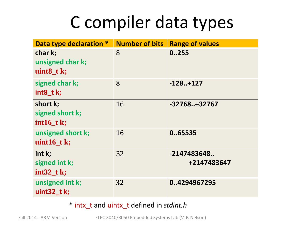## C compiler data types

| Data type declaration *                     |    | <b>Number of bits Range of values</b> |
|---------------------------------------------|----|---------------------------------------|
| char k;<br>unsigned char k;<br>$uint8_t$ k; | 8  | 0.255                                 |
| signed char k;<br>int8_t k;                 | 8  | $-128+127$                            |
| short k;<br>signed short k;<br>$int16_t$ k; | 16 | $-32768+32767$                        |
| unsigned short k;<br>uint $16$ _t k;        | 16 | 065535                                |
| int k;<br>signed int k;<br>$int32_t$ k;     | 32 | -2147483648<br>+2147483647            |
| unsigned int k;<br>uint $32$ tk;            | 32 | 04294967295                           |

\* intx\_t and uintx\_t defined in *stdint.h*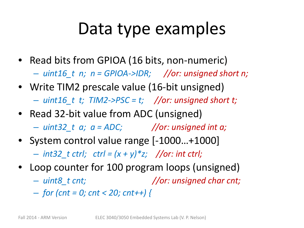#### Data type examples

- Read bits from GPIOA (16 bits, non-numeric) – *uint16\_t n; n = GPIOA->IDR; //or: unsigned short n;*
- Write TIM2 prescale value (16-bit unsigned) – *uint16\_t t; TIM2->PSC = t; //or: unsigned short t;*
- Read 32-bit value from ADC (unsigned)
	- *uint32\_t a; a = ADC; //or: unsigned int a;*
- System control value range [-1000...+1000] – *int32\_t ctrl; ctrl = (x + y)\*z; //or: int ctrl;*
- Loop counter for 100 program loops (unsigned)
	- *uint8\_t cnt; //or: unsigned char cnt;*
	- *for (cnt = 0; cnt < 20; cnt++) {*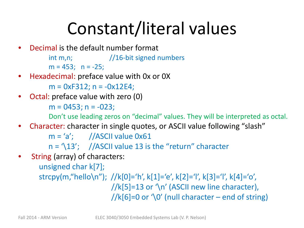# Constant/literal values

- Decimal is the default number format
	- int m,n;  $\frac{1}{16}$ -bit signed numbers  $m = 453$ ;  $n = -25$ ;
- Hexadecimal: preface value with 0x or 0X

```
m = 0xF312; n = -0x12E4;
```
• Octal: preface value with zero (0)

 $m = 0453$ ;  $n = -023$ ;

Don't use leading zeros on "decimal" values. They will be interpreted as octal.

• Character: character in single quotes, or ASCII value following "slash"

 $m = 'a';$  //ASCII value 0x61

 $n = \langle 13'; \quad //$ ASCII value 13 is the "return" character

String (array) of characters:

unsigned char k[7]; strcpy(m,"hello\n"); //k[0]='h', k[1]='e', k[2]='l', k[3]='l', k[4]='o',  $//k[5]=13$  or  $\forall n'$  (ASCII new line character),

 $//k[6]=0$  or  $\Diamond$  (null character – end of string)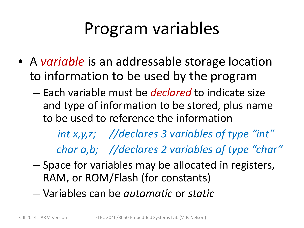# Program variables

- A *variable* is an addressable storage location to information to be used by the program
	- Each variable must be *declared* to indicate size and type of information to be stored, plus name to be used to reference the information

*int x,y,z; //declares 3 variables of type "int" char a,b; //declares 2 variables of type "char"*

- Space for variables may be allocated in registers, RAM, or ROM/Flash (for constants)
- Variables can be *automatic* or *static*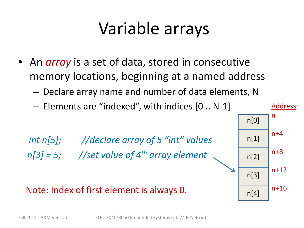# Variable arrays

- An *array* is a set of data, stored in consecutive memory locations, beginning at a named address
	- Declare array name and number of data elements, N

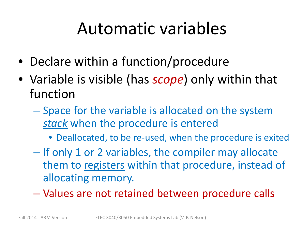# Automatic variables

- Declare within a function/procedure
- Variable is visible (has *scope*) only within that function
	- Space for the variable is allocated on the system *stack* when the procedure is entered
		- Deallocated, to be re-used, when the procedure is exited
	- If only 1 or 2 variables, the compiler may allocate them to registers within that procedure, instead of allocating memory.
	- Values are not retained between procedure calls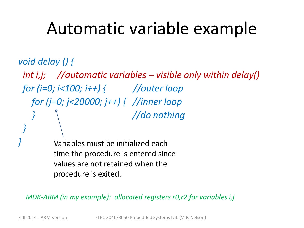#### Automatic variable example

*void delay () { int i,j; //automatic variables – visible only within delay() for (i=0; i<100; i++) { //outer loop for (j=0; j<20000; j++) { //inner loop } //do nothing* 

*}* Variables must be initialized each time the procedure is entered since values are not retained when the procedure is exited.

*}*

*MDK-ARM (in my example): allocated registers r0,r2 for variables i,j*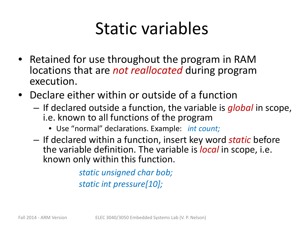# Static variables

- Retained for use throughout the program in RAM locations that are *not reallocated* during program execution.
- Declare either within or outside of a function
	- If declared outside a function, the variable is *global* in scope, i.e. known to all functions of the program
		- Use "normal" declarations. Example: *int count;*
	- If declared within a function, insert key word *static* before the variable definition. The variable is *local* in scope, i.e. known only within this function.

*static unsigned char bob; static int pressure[10];*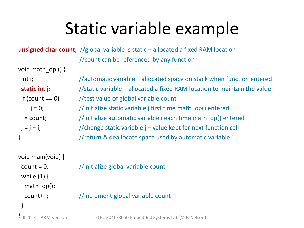# Static variable example

#### **unsigned char count;** //global variable is static – allocated a fixed RAM location //count can be referenced by any function

| void math_op() {  |                                                                          |
|-------------------|--------------------------------------------------------------------------|
| int i;            | //automatic variable – allocated space on stack when function entered    |
| static int j;     | //static variable – allocated a fixed RAM location to maintain the value |
| if (count $==$ 0) | //test value of global variable count                                    |
| $i = 0;$          | //initialize static variable j first time math op() entered              |
| $i = count;$      | //initialize automatic variable i each time math op() entered            |
| $j = j + i;$      | //change static variable j - value kept for next function call           |
|                   | //return & deallocate space used by automatic variable i                 |
|                   |                                                                          |

| void main(void) $\{$    |                                                    |
|-------------------------|----------------------------------------------------|
| $count = 0$ ;           | //initialize global variable count                 |
| while $(1)$ {           |                                                    |
| math $op()$ ;           |                                                    |
| $count++;$              | //increment global variable count                  |
|                         |                                                    |
| Fall 2014 - ARM Version | ELEC 3040/3050 Embedded Systems Lab (V. P. Nelson) |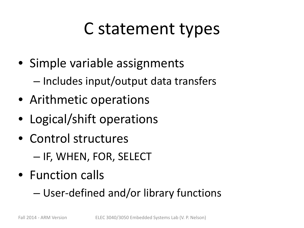# C statement types

- Simple variable assignments
	- Includes input/output data transfers
- Arithmetic operations
- Logical/shift operations
- Control structures
	- IF, WHEN, FOR, SELECT
- Function calls
	- User-defined and/or library functions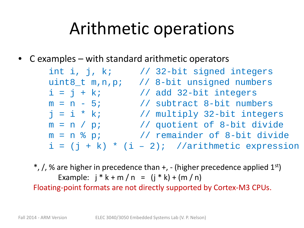# Arithmetic operations

 $C$  examples – with standard arithmetic operators

| int i, j, $k$ ;    | // 32-bit signed integers                        |
|--------------------|--------------------------------------------------|
| $uint8_t m, n, p;$ | // 8-bit unsigned numbers                        |
| $i = j + ki$       | // add 32-bit integers                           |
| $m = n - 5i$       | // subtract 8-bit numbers                        |
| $j = i * k;$       | // multiply 32-bit integers                      |
| $m = n / pi$       | // quotient of 8-bit divide                      |
| $m = n$ % p;       | // remainder of 8-bit divide                     |
|                    | $i = (j + k) * (i - 2)i$ //arithmetic expression |

 $*,$  /, % are higher in precedence than  $+$ ,  $-$  (higher precedence applied  $1<sup>st</sup>$ ) Example:  $j * k + m / n = (j * k) + (m / n)$ 

Floating-point formats are not directly supported by Cortex-M3 CPUs.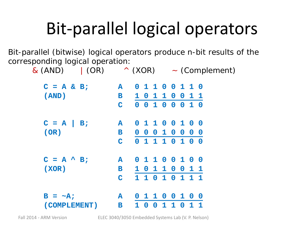# Bit-parallel logical operators

Bit-parallel (bitwise) logical operators produce n-bit results of the corresponding logical operation:

| $\&(AND)$ (OR)      |                 |                |                         |                         |                 | $\wedge$ (XOR) $\sim$ (Complement) |          |                   |                         |  |
|---------------------|-----------------|----------------|-------------------------|-------------------------|-----------------|------------------------------------|----------|-------------------|-------------------------|--|
| $C = A & B;$        | A               |                |                         |                         | 0 1 1 0 0 1 1 0 |                                    |          |                   |                         |  |
| (AND)               | $\, {\bf B} \,$ | 1 <sub>0</sub> |                         |                         | 110011          |                                    |          |                   |                         |  |
|                     | C               |                |                         | $0 \t0 \t1$             |                 | $0\quad 0$                         |          | 010               |                         |  |
| $C = A \mid B;$     | ${\bf A}$       |                |                         |                         | 0 1 1 0 0 1 0   |                                    |          |                   | $\overline{\mathbf{0}}$ |  |
| (OR)                | $\mathbf B$     | $\mathbf 0$    | $\overline{\mathbf{0}}$ | $\overline{\mathbf{0}}$ | 10              |                                    |          | $0\quad 0\quad 0$ |                         |  |
|                     | $\mathbf C$     |                | $0\quad 1$              |                         | $1\quad1$       |                                    |          | 0 1 0 0           |                         |  |
| $C = A^{\wedge} B;$ | ${\bf A}$       |                |                         |                         | 0 1 1 0 0 1 0   |                                    |          |                   | $\overline{\mathbf{0}}$ |  |
| (XOR)               | $\, {\bf B} \,$ | 1 0            |                         |                         | 110             |                                    | $\bf{0}$ | 11                |                         |  |
|                     | $\mathbf C$     |                | 110                     |                         | 1 <sub>0</sub>  |                                    |          | 111               |                         |  |
| $B = \sim A$ ;      | A               |                | 01                      | $\mathbf{1}$            |                 |                                    | 0 0 1 0  |                   | - 0                     |  |
| (COMPLEMENT)        | $\, {\bf B} \,$ | 1              | O                       | $\mathbf 0$             | 1               | 1                                  | $\bf{O}$ | $\mathbf{1}$      |                         |  |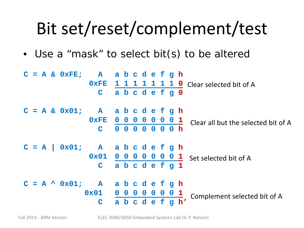# Bit set/reset/complement/test

• Use a "mask" to select bit(s) to be altered

|  |  | $C = A & OxFE$ ; A abcdefgh             |            |                 |  |           |                                                     |
|--|--|-----------------------------------------|------------|-----------------|--|-----------|-----------------------------------------------------|
|  |  | 0xFE                                    |            |                 |  |           | 1 1 1 1 1 1 1 0 Clear selected bit of A             |
|  |  | $\mathbf C$                             |            | abcdefg0        |  |           |                                                     |
|  |  | $C = A & 0x01;$ A abcdefgh              |            |                 |  |           |                                                     |
|  |  | 0xFE                                    |            | 0 0 0 0 0 0 0 1 |  |           | Clear all but the selected bit of A                 |
|  |  | $\mathbf C$                             | $0\quad 0$ | 00000h          |  |           |                                                     |
|  |  | $C = A$ 0x01; A abcdefgh                |            |                 |  |           |                                                     |
|  |  |                                         |            |                 |  |           | $0 \times 01$ 0 0 0 0 0 0 0 1 Set selected bit of A |
|  |  | $\mathbf C$                             |            | abcdefg1        |  |           |                                                     |
|  |  | $C = A \wedge 0x01$ ; A a b c d e f g h |            |                 |  |           |                                                     |
|  |  | $0 \times 01$ 0 0 0 0 0 0 0 1           |            |                 |  |           | Complement selected bit of A                        |
|  |  | $\mathbf C$                             |            |                 |  | abcdefgh' |                                                     |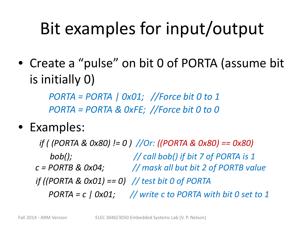# Bit examples for input/output

• Create a "pulse" on bit 0 of PORTA (assume bit is initially 0)

> *PORTA = PORTA | 0x01; //Force bit 0 to 1 PORTA = PORTA & 0xFE; //Force bit 0 to 0*

#### • Examples:

*if ( (PORTA & 0x80) != 0 ) //Or: ((PORTA & 0x80) == 0x80) bob(); // call bob() if bit 7 of PORTA is 1 c = PORTB & 0x04; // mask all but bit 2 of PORTB value if ((PORTA & 0x01) == 0) // test bit 0 of PORTA PORTA = c | 0x01; // write c to PORTA with bit 0 set to 1*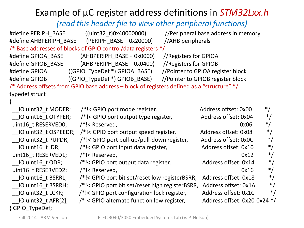#### Example of µC register address definitions in *STM32Lxx.h*

*(read this header file to view other peripheral functions)*

#define PERIPH\_BASE ((uint32\_t)0x40000000) //Peripheral base address in memory #define AHBPERIPH\_BASE (PERIPH\_BASE + 0x20000) //AHB peripherals /\* Base addresses of blocks of GPIO control/data registers \*/ #define GPIOA\_BASE (AHBPERIPH\_BASE + 0x0000) //Registers for GPIOA #define GPIOB\_BASE (AHBPERIPH\_BASE + 0x0400) //Registers for GPIOB #define GPIOA ((GPIO TypeDef \*) GPIOA\_BASE) //Pointer to GPIOA register block #define GPIOB ((GPIO TypeDef \*) GPIOB BASE) //Pointer to GPIOB register block /\* Address offsets from GPIO base address – block of registers defined as a "structure" \*/ typedef struct  $\mathfrak{c}$ IO uint32 t MODER; /\*!< GPIO port mode register, Address offset: 0x00 \*/ IO uint16 t OTYPER; /\*!< GPIO port output type register, Address offset: 0x04 \*/ uint16 t RESERVED0;  $/$ \*!< Reserved, 0x06 \*/ IO uint32 t OSPEEDR; /\*!< GPIO port output speed register, Address offset: 0x08 \*/ IO uint32 t PUPDR; /\*!< GPIO port pull-up/pull-down register, Address offset: 0x0C \*/ IO uint16 t IDR;  $/$ \*!< GPIO port input data register, Address offset: 0x10 \*/ uint16 t RESERVED1;  $/$ \*!< Reserved, 0x12 \*/  $\blacksquare$  IO uint16 t ODR; /\*!< GPIO port output data register,  $\blacksquare$  Address offset: 0x14  $\blacksquare$ uint16 t RESERVED2;  $/$ \*!< Reserved, 0x16  $/$ IO uint16 t BSRRL; /\*!< GPIO port bit set/reset low registerBSRR, Address offset: 0x18 \*/ IO uint16 t BSRRH; /\*!< GPIO port bit set/reset high registerBSRR, Address offset: 0x1A \*/ IO uint32 t LCKR; /\*!< GPIO port configuration lock register, Address offset: 0x1C \*/

IO uint32 t AFR[2]; /\*!< GPIO alternate function low register, Address offset: 0x20-0x24 \*/ } GPIO\_TypeDef;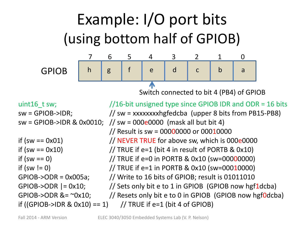Example: I/O port bits (using bottom half of GPIOB) 7 6 5 4 3 2 1 0 GPIOB h | g | f | e | d | c | b | a  $\blacktriangle$ Switch connected to bit 4 (PB4) of GPIOB uint16 t sw;  $//16-bit unsigned type since GPIOB 1DR and ODR = 16 bits$  $sw = GPIOB\rightarrow IDR;$   $// sw = xxxxxxxxhgfedcba (upper 8 bits from PB15-PB8)$ sw = GPIOB->IDR & 0x0010; // sw = 000e0000 (mask all but bit 4) // Result is sw = 00000000 or 00010000 if (sw  $== 0x01$ )  $//$  NEVER TRUE for above sw, which is 000e0000 if (sw ==  $0x10$ )  $\frac{1}{\sqrt{TRUE}}$  if e=1 (bit 4 in result of PORTB &  $0x10$ ) if  $(sw == 0)$  // TRUE if  $e=0$  in PORTB & 0x10  $(sw=00000000)$ if  $(sw != 0)$  // TRUE if e=1 in PORTB & 0x10  $(sw=00010000)$ GPIOB->ODR = 0x005a; // Write to 16 bits of GPIOB; result is 01011010 GPIOB->ODR  $= 0x10$ ; // Sets only bit e to 1 in GPIOB (GPIOB now hgf1dcba) GPIOB->ODR  $&=$  ~0x10;  $//$  Resets only bit e to 0 in GPIOB (GPIOB now hgf0dcba) if ((GPIOB->IDR & 0x10) == 1) // TRUE if e=1 (bit 4 of GPIOB)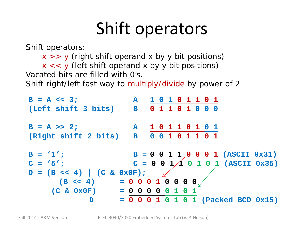# Shift operators

Shift operators:

 $x \gg y$  (right shift operand x by y bit positions)

 $x \ll y$  (left shift operand x by y bit positions)

Vacated bits are filled with 0's.

Shift right/left fast way to multiply/divide by power of 2

```
B = A << 3; A 1 0 1 0 1 1 0 1
(Left shift 3 bits) B 0 1 1 0 1 0 0 0
B = A >> 2; A 1 0 1 1 0 1 0 1
(Right shift 2 bits) B 0 0 1 0 1 1 0 1
B = '1';<br>B = 0 0 1 1 0 0 0 1 (ASCII 0x31)C = '5'; C = 0 \t0 \t1 \t( ASCII \t 0x35)D = (B \ll 4)   (C \& Ox0F);(B << 4) = 0 0 0 1 0 0 0 0 
    (C \& Ox0F) = 0 0 0 0 0D = 0 0 0 1 0 1 0 1 (Packed BCD 0x15)
```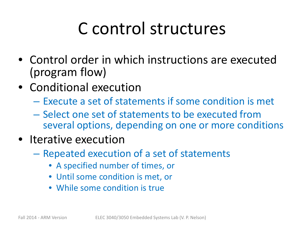# C control structures

- Control order in which instructions are executed (program flow)
- Conditional execution
	- Execute a set of statements if some condition is met
	- Select one set of statements to be executed from several options, depending on one or more conditions
- Iterative execution
	- Repeated execution of a set of statements
		- A specified number of times, or
		- Until some condition is met, or
		- While some condition is true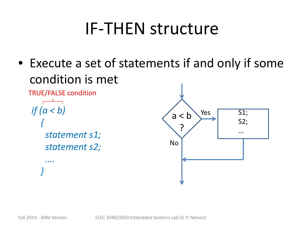#### IF-THEN structure

• Execute a set of statements if and only if some condition is met

```
if (a < b)
   { 
    statement s1;
    statement s2;
     ….
   }
                                         a < b?
                                                  Yes
                                         No
                                                             S1;
                                                             S2;
                                                             …
TRUE/FALSE condition
```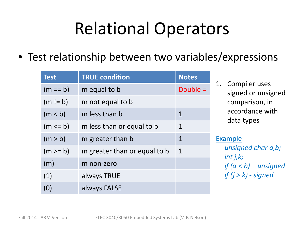# Relational Operators

• Test relationship between two variables/expressions

| <b>Test</b> | <b>TRUE condition</b>        | <b>Notes</b> |
|-------------|------------------------------|--------------|
| $(m == b)$  | m equal to b                 | Double $=$   |
| $(m != b)$  | m not equal to b             |              |
| (m < b)     | m less than b                | $\mathbf{1}$ |
| $(m \le b)$ | m less than or equal to b    | $\mathbf 1$  |
| (m > b)     | m greater than b             | $\mathbf 1$  |
| $(m \ge b)$ | m greater than or equal to b | $\mathbf 1$  |
| (m)         | m non-zero                   |              |
| (1)         | always TRUE                  |              |
| (0)         | always FALSE                 |              |

1. Compiler uses signed or unsigned comparison, in accordance with data types

#### Example:

*unsigned char a,b; int j,k; if (a < b) – unsigned if (j > k) - signed*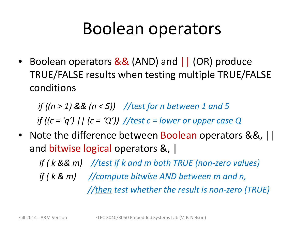#### Boolean operators

• Boolean operators && (AND) and  $\int$  (OR) produce TRUE/FALSE results when testing multiple TRUE/FALSE conditions

*if ((n > 1) && (n < 5)) //test for n between 1 and 5 if ((c = 'q') || (c = 'Q')) //test c = lower or upper case Q*

• Note the difference between Boolean operators &&, || and bitwise logical operators &, |

*if ( k && m) //test if k and m both TRUE (non-zero values) if ( k & m) //compute bitwise AND between m and n, //then test whether the result is non-zero (TRUE)*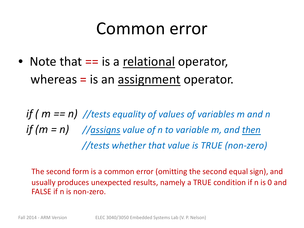#### Common error

• Note that == is a relational operator, whereas  $=$  is an assignment operator.

*if ( m == n) //tests equality of values of variables m and n if (m = n) //assigns value of n to variable m, and then //tests whether that value is TRUE (non-zero)*

The second form is a common error (omitting the second equal sign), and usually produces unexpected results, namely a TRUE condition if n is 0 and FALSE if n is non-zero.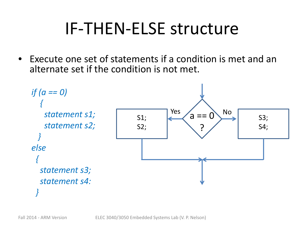## IF-THEN-ELSE structure

• Execute one set of statements if a condition is met and an alternate set if the condition is not met.

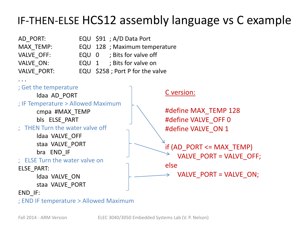#### IF-THEN-ELSE HCS12 assembly language vs C example

| AD PURI:          |  |  |  |  |  |
|-------------------|--|--|--|--|--|
| MAX TEMP:         |  |  |  |  |  |
| <b>VALVE OFF:</b> |  |  |  |  |  |
| VALVE ON:         |  |  |  |  |  |
| VAIVE DORT.       |  |  |  |  |  |

- AD\_PORT: EQU \$91 ; A/D Data Port
	- EQU 128 ; Maximum temperature
	- EQU 0 ; Bits for valve off
	- EQU 1 ; Bits for valve on
- VALVE\_PORT: EQU \$258 ; Port P for the valve



; END IF temperature > Allowed Maximum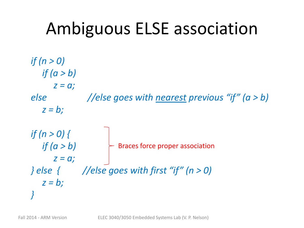# Ambiguous ELSE association

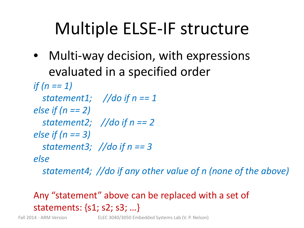# Multiple ELSE-IF structure

- Multi-way decision, with expressions evaluated in a specified order
- *if (n == 1) statement1; //do if n == 1 else if (n == 2) statement2; //do if n == 2 else if (n == 3) statement3; //do if n == 3 else*

*statement4; //do if any other value of n (none of the above)*

#### Any "statement" above can be replaced with a set of statements: {s1; s2; s3; …}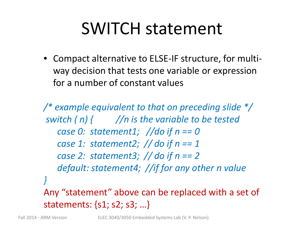## SWITCH statement

• Compact alternative to ELSE-IF structure, for multiway decision that tests one variable or expression for a number of constant values

*/\* example equivalent to that on preceding slide \*/ switch ( n) { //n is the variable to be tested case 0: statement1; //do if n == 0 case 1: statement2; // do if n == 1 case 2: statement3; // do if n == 2 default: statement4; //if for any other n value }* Any "statement" above can be replaced with a set of statements: {s1; s2; s3; …}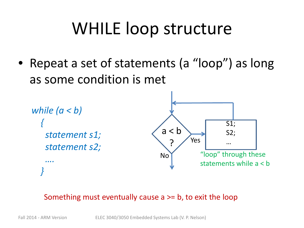# WHILE loop structure

• Repeat a set of statements (a "loop") as long as some condition is met

```
while (a < b)
  { 
    statement s1;
    statement s2;
    ….
  }
                                      a < bYes
                                      No
                                                         S1;
                                                         S2;
                                                          …
                                                  "loop" through these
                                                  statements while a < b
```
#### Something must eventually cause a >= b, to exit the loop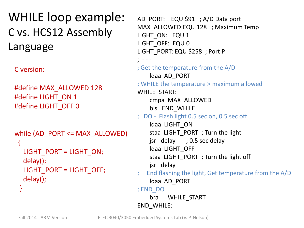WHILE loop example: C vs. HCS12 Assembly Language

C version:

#define MAX\_ALLOWED 128 #define LIGHT\_ON 1 #define LIGHT\_OFF 0

```
while (AD_PORT <= MAX_ALLOWED)
 \left\{ \right.LIGHT_PORT = LIGHT_ON;
  delay(); 
  LIGHT_PORT = LIGHT_OFF;
  delay();
 }
```
AD\_PORT: EQU \$91 ; A/D Data port MAX\_ALLOWED:EQU 128 ; Maximum Temp LIGHT\_ON: EQU 1 LIGHT\_OFF: EQU 0 LIGHT\_PORT: EQU \$258 ; Port P ; - - - ; Get the temperature from the A/D ldaa AD\_PORT ; WHILE the temperature > maximum allowed WHILE\_START: cmpa MAX\_ALLOWED bls END\_WHILE ; DO - Flash light 0.5 sec on, 0.5 sec off ldaa LIGHT\_ON staa LIGHT\_PORT ; Turn the light jsr delay ; 0.5 sec delay ldaa LIGHT\_OFF staa LIGHT PORT ; Turn the light off jsr delay End flashing the light, Get temperature from the A/D ldaa AD\_PORT ; END\_DO bra WHILE\_START END\_WHILE: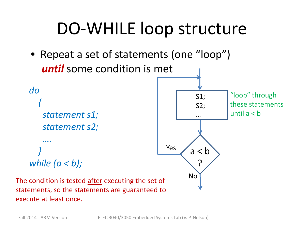## DO-WHILE loop structure

• Repeat a set of statements (one "loop") *until* some condition is met



*while (a < b);*



The condition is tested after executing the set of statements, so the statements are guaranteed to execute at least once.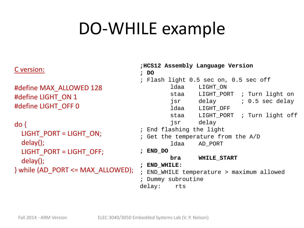### DO-WHILE example

#### C version:

#define MAX\_ALLOWED 128 #define LIGHT\_ON 1 #define LIGHT\_OFF 0

do {  $LIGHT$  PORT = LIGHT ON; delay(); LIGHT\_PORT = LIGHT\_OFF; delay(); } while (AD\_PORT <= MAX\_ALLOWED);

**;HCS12 Assembly Language Version ; DO** ; Flash light 0.5 sec on, 0.5 sec off ldaa LIGHT\_ON staa LIGHT PORT ; Turn light on jsr delay ; 0.5 sec delay ldaa LIGHT\_OFF staa LIGHT PORT ; Turn light off jsr delay ; End flashing the light ; Get the temperature from the A/D ldaa AD\_PORT **; END\_DO bra WHILE\_START ; END\_WHILE:** ; END\_WHILE temperature > maximum allowed ; Dummy subroutine delay: rts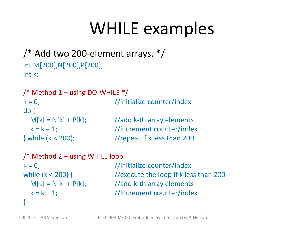#### WHILE examples

```
/* Add two 200-element arrays. */
int M[200],N[200],P[200];
int k;
```

```
/* Method 1 - using DO-WHILE */k = 0; \frac{1}{100} //initialize counter/index
do {
  M[k] = N[k] + P[k]; //add k-th array elements
  k = k + 1; //increment counter/index
\} while (k < 200); \frac{1}{\sqrt{r}} //repeat if k less than 200
```

```
/* Method 2 – using WHILE loop
```

```
}
```
 $k = 0$ ;  $\frac{1}{100}$  //initialize counter/index while (k < 200} { //execute the loop if k less than 200  $M[k] = N[k] + P[k];$  //add k-th array elements  $k = k + 1$ ; //increment counter/index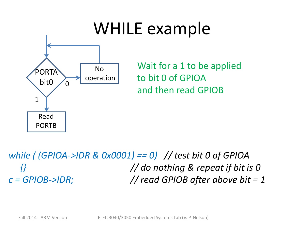

*while ( (GPIOA->IDR & 0x0001) == 0) // test bit 0 of GPIOA {} // do nothing & repeat if bit is 0 c = GPIOB->IDR; // read GPIOB after above bit = 1*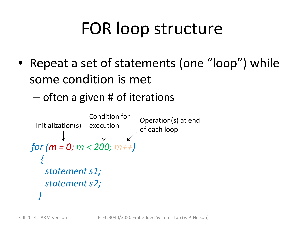# FOR loop structure

- Repeat a set of statements (one "loop") while some condition is met
	- often a given # of iterations

```
for (m = 0; m < 200; m++)
  { 
   statement s1;
   statement s2;
  }
 Initialization(s)
               Condition for
                             Operation(s) at end
                             of each loop
```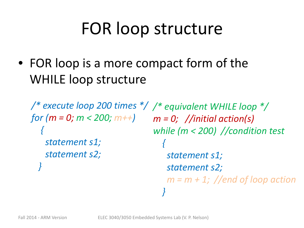# FOR loop structure

• FOR loop is a more compact form of the WHILE loop structure

*/\* execute loop 200 times \*/ /\* equivalent WHILE loop \*/ for (m = 0; m < 200; m++) { statement s1; statement s2; } m = 0; //initial action(s) while (m < 200) //condition test { statement s1; statement s2; m = m + 1; //end of loop action*

*}*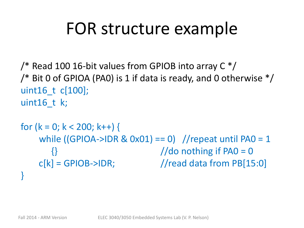## FOR structure example

 $\frac{1}{2}$  Read 100 16-bit values from GPIOB into array C  $\frac{1}{2}$  $\frac{1}{2}$  Bit 0 of GPIOA (PA0) is 1 if data is ready, and 0 otherwise  $\frac{1}{2}$ uint16 t c[100]; uint $16$  t k;

```
for (k = 0; k < 200; k++) {
   while ((GPIOA->IDR & Ox01) == 0) //repeat until PAO = 1
      \{\} //do nothing if PAO = 0
    c[k] = GPIOB \rightarrow IDR; //read data from PB[15:0]
}
```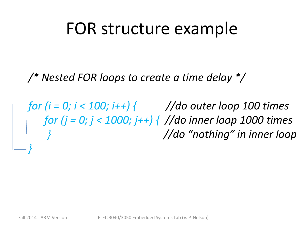#### FOR structure example

*/\* Nested FOR loops to create a time delay \*/*

*for (i = 0; i < 100; i++) { //do outer loop 100 times for (j = 0; j < 1000; j++) { //do inner loop 1000 times } //do "nothing" in inner loop }*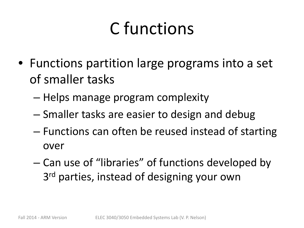# C functions

- Functions partition large programs into a set of smaller tasks
	- Helps manage program complexity
	- Smaller tasks are easier to design and debug
	- Functions can often be reused instead of starting over
	- Can use of "libraries" of functions developed by 3<sup>rd</sup> parties, instead of designing your own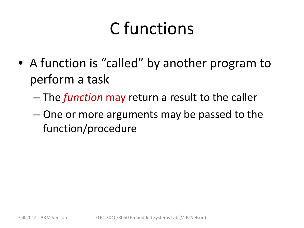# C functions

- A function is "called" by another program to perform a task
	- The *function* may return a result to the caller
	- One or more arguments may be passed to the function/procedure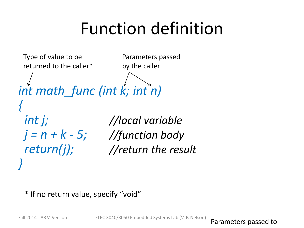# Function definition

*int math\_func (int k; int n) { int j; //local variable j = n + k - 5; //function body return(j); //return the result }* Type of value to be returned to the caller\* Parameters passed by the caller

#### \* If no return value, specify "void"

Fall 2014 - ARM Version ELEC 3040/3050 Embedded Systems Lab (V. P. Nelson) Parameters passed to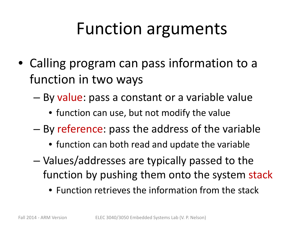### Function arguments

- Calling program can pass information to a function in two ways
	- By value: pass a constant or a variable value
		- function can use, but not modify the value
	- By reference: pass the address of the variable
		- function can both read and update the variable
	- Values/addresses are typically passed to the function by pushing them onto the system stack
		- Function retrieves the information from the stack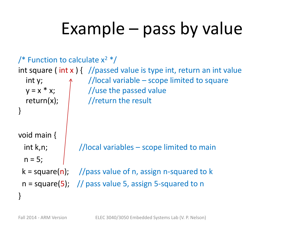# Example – pass by value

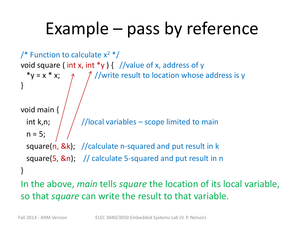# Example – pass by reference

/\* Function to calculate  $x^2$  \*/ void square (int x, int \*y ) { //value of x, address of y \*y = x \* x;  $\gamma$  //write result to location whose address is y } void main { int k,n;  $\frac{1}{\sqrt{2}}$  //local variables – scope limited to main  $n = 5;$ square(n, &k); //calculate n-squared and put result in k square(5, &n); // calculate 5-squared and put result in n } In the above, *main* tells *square* the location of its local variable, so that *square* can write the result to that variable.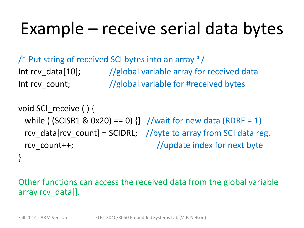# Example – receive serial data bytes

/\* Put string of received SCI bytes into an array \*/ Int rcv data[10];  $\frac{1}{2}$  //global variable array for received data Int rcv\_count; //global variable for #received bytes

void SCI\_receive ( ) { while ( (SCISR1 & 0x20) == 0)  $\{ \}$  //wait for new data (RDRF = 1) rcv\_data[rcv\_count] = SCIDRL; //byte to array from SCI data reg. rcv\_count++;  $\sqrt{u}$  //update index for next byte }

Other functions can access the received data from the global variable array rcv\_data[].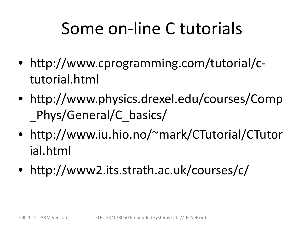# Some on-line C tutorials

- http://www.cprogramming.com/tutorial/ctutorial.html
- http://www.physics.drexel.edu/courses/Comp Phys/General/C\_basics/
- http://www.iu.hio.no/~mark/CTutorial/CTutor ial.html
- http://www2.its.strath.ac.uk/courses/c/